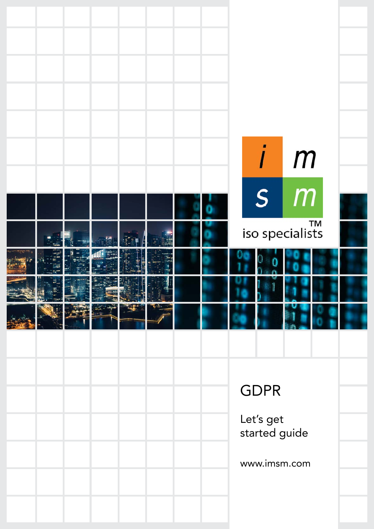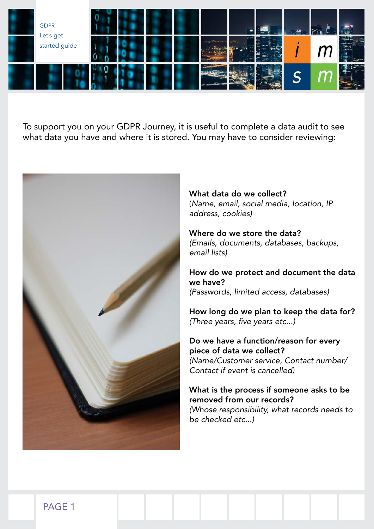

To support you on your GDPR Journey, it is useful to complete a data audit to see what data you have and where it is stored. You may have to consider reviewing:



What data do we collect? (Name, email, social media, location, IP address, cookies)

Where do we store the data? (Emails, documents, databases, backups, email lists)

How do we protect and document the data we have? (Passwords, limited access, databases)

How long do we plan to keep the data for? (Three years, five years etc...)

Do we have a function/reason for every piece of data we collect? (Name/Customer service, Contact number/ Contact if event is cancelled)

What is the process if someone asks to be removed from our records? (Whose responsibility, what records needs to be checked etc...)

PAGE 1